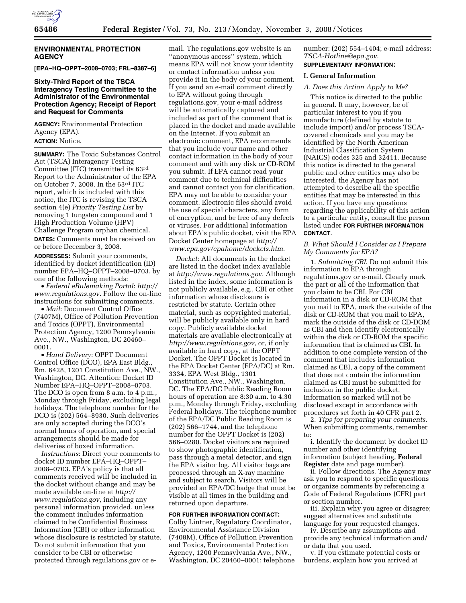

# **ENVIRONMENTAL PROTECTION AGENCY**

**[EPA–HQ–OPPT–2008–0703; FRL–8387–6]** 

# **Sixty-Third Report of the TSCA Interagency Testing Committee to the Administrator of the Environmental Protection Agency; Receipt of Report and Request for Comments**

**AGENCY:** Environmental Protection Agency (EPA).

**ACTION:** Notice.

**SUMMARY:** The Toxic Substances Control Act (TSCA) Interagency Testing Committee (ITC) transmitted its 63rd Report to the Administrator of the EPA on October 7, 2008. In the 63rd ITC report, which is included with this notice, the ITC is revising the TSCA section 4(e) *Priority Testing List* by removing 1 tungsten compound and 1 High Production Volume (HPV) Challenge Program orphan chemical. **DATES:** Comments must be received on

or before December 3, 2008.

**ADDRESSES:** Submit your comments, identified by docket identification (ID) number EPA–HQ–OPPT–2008–0703, by one of the following methods:

• *Federal eRulemaking Portal*: *http:// www.regulations.gov*. Follow the on-line instructions for submitting comments.

• *Mail*: Document Control Office (7407M), Office of Pollution Prevention and Toxics (OPPT), Environmental Protection Agency, 1200 Pennsylvania Ave., NW., Washington, DC 20460– 0001.

• *Hand Delivery*: OPPT Document Control Office (DCO), EPA East Bldg., Rm. 6428, 1201 Constitution Ave., NW., Washington, DC. Attention: Docket ID Number EPA–HQ–OPPT–2008–0703. The DCO is open from 8 a.m. to 4 p.m., Monday through Friday, excluding legal holidays. The telephone number for the DCO is (202) 564–8930. Such deliveries are only accepted during the DCO's normal hours of operation, and special arrangements should be made for deliveries of boxed information.

*Instructions*: Direct your comments to docket ID number EPA–HQ–OPPT– 2008–0703. EPA's policy is that all comments received will be included in the docket without change and may be made available on-line at *http:// www.regulations.gov*, including any personal information provided, unless the comment includes information claimed to be Confidential Business Information (CBI) or other information whose disclosure is restricted by statute. Do not submit information that you consider to be CBI or otherwise protected through regulations.gov or e-

mail. The regulations.gov website is an ''anonymous access'' system, which means EPA will not know your identity or contact information unless you provide it in the body of your comment. If you send an e-mail comment directly to EPA without going through regulations.gov, your e-mail address will be automatically captured and included as part of the comment that is placed in the docket and made available on the Internet. If you submit an electronic comment, EPA recommends that you include your name and other contact information in the body of your comment and with any disk or CD-ROM you submit. If EPA cannot read your comment due to technical difficulties and cannot contact you for clarification, EPA may not be able to consider your comment. Electronic files should avoid the use of special characters, any form of encryption, and be free of any defects or viruses. For additional information about EPA's public docket, visit the EPA Docket Center homepage at *http:// www.epa.gov/epahome/dockets.htm*.

*Docket*: All documents in the docket are listed in the docket index available at *http://www.regulations.gov*. Although listed in the index, some information is not publicly available, e.g., CBI or other information whose disclosure is restricted by statute. Certain other material, such as copyrighted material, will be publicly available only in hard copy. Publicly available docket materials are available electronically at *http://www.regulations.gov*, or, if only available in hard copy, at the OPPT Docket. The OPPT Docket is located in the EPA Docket Center (EPA/DC) at Rm. 3334, EPA West Bldg., 1301 Constitution Ave., NW., Washington, DC. The EPA/DC Public Reading Room hours of operation are 8:30 a.m. to 4:30 p.m., Monday through Friday, excluding Federal holidays. The telephone number of the EPA/DC Public Reading Room is (202) 566–1744, and the telephone number for the OPPT Docket is (202) 566–0280. Docket visitors are required to show photographic identification, pass through a metal detector, and sign the EPA visitor log. All visitor bags are processed through an X-ray machine and subject to search. Visitors will be provided an EPA/DC badge that must be visible at all times in the building and returned upon departure.

## **FOR FURTHER INFORMATION CONTACT:**

Colby Lintner, Regulatory Coordinator, Environmental Assistance Division (7408M), Office of Pollution Prevention and Toxics, Environmental Protection Agency, 1200 Pennsylvania Ave., NW., Washington, DC 20460–0001; telephone

number: (202) 554–1404; e-mail address: *TSCA-Hotline@epa.gov*. **SUPPLEMENTARY INFORMATION:** 

## **I. General Information**

#### *A. Does this Action Apply to Me?*

This notice is directed to the public in general. It may, however, be of particular interest to you if you manufacture (defined by statute to include import) and/or process TSCAcovered chemicals and you may be identified by the North American Industrial Classification System (NAICS) codes 325 and 32411. Because this notice is directed to the general public and other entities may also be interested, the Agency has not attempted to describe all the specific entities that may be interested in this action. If you have any questions regarding the applicability of this action to a particular entity, consult the person listed under **FOR FURTHER INFORMATION CONTACT**.

## *B. What Should I Consider as I Prepare My Comments for EPA?*

1. *Submitting CBI*. Do not submit this information to EPA through regulations.gov or e-mail. Clearly mark the part or all of the information that you claim to be CBI. For CBI information in a disk or CD-ROM that you mail to EPA, mark the outside of the disk or CD-ROM that you mail to EPA, mark the outside of the disk or CD-DOM as CBI and then identify electronically within the disk or CD-ROM the specific information that is claimed as CBI. In addition to one complete version of the comment that includes information claimed as CBI, a copy of the comment that does not contain the information claimed as CBI must be submitted for inclusion in the public docket. Information so marked will not be disclosed except in accordance with procedures set forth in 40 CFR part 2.

2. *Tips for preparing your comments*. When submitting comments, remember to:

i. Identify the document by docket ID number and other identifying information (subject heading, **Federal Register** date and page number).

ii. Follow directions. The Agency may ask you to respond to specific questions or organize comments by referencing a Code of Federal Regulations (CFR) part or section number.

iii. Explain why you agree or disagree; suggest alternatives and substitute language for your requested changes.

iv. Describe any assumptions and provide any technical information and/ or data that you used.

v. If you estimate potential costs or burdens, explain how you arrived at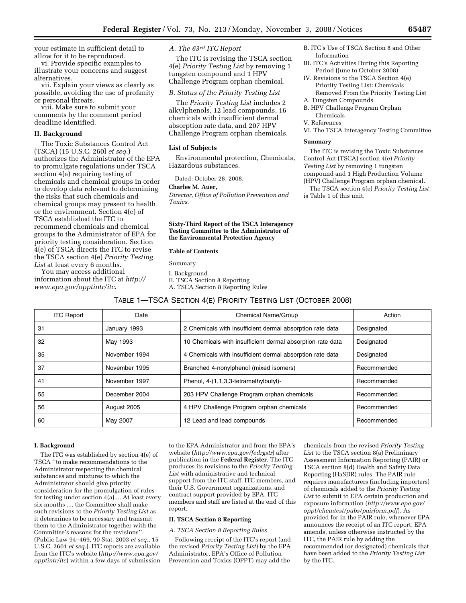your estimate in sufficient detail to allow for it to be reproduced.

vi. Provide specific examples to illustrate your concerns and suggest alternatives.

vii. Explain your views as clearly as possible, avoiding the use of profanity or personal threats.

viii. Make sure to submit your comments by the comment period deadline identified.

## **II. Background**

The Toxic Substances Control Act (TSCA) (15 U.S.C. 260l *et seq*.) authorizes the Administrator of the EPA to promulgate regulations under TSCA section 4(a) requiring testing of chemicals and chemical groups in order to develop data relevant to determining the risks that such chemicals and chemical groups may present to health or the environment. Section 4(e) of TSCA established the ITC to recommend chemicals and chemical groups to the Administrator of EPA for priority testing consideration. Section 4(e) of TSCA directs the ITC to revise the TSCA section 4(e) *Priority Testing List* at least every 6 months.

You may access additional information about the ITC at *http:// www.epa.gov/opptintr/itc*.

*A. The 63rd ITC Report* 

The ITC is revising the TSCA section 4(e) *Priority Testing List* by removing 1 tungsten compound and 1 HPV Challenge Program orphan chemical.

# *B. Status of the Priority Testing List*

The *Priority Testing List* includes 2 alkylphenols, 12 lead compounds, 16 chemicals with insufficient dermal absorption rate data, and 207 HPV Challenge Program orphan chemicals.

### **List of Subjects**

Environmental protection, Chemicals, Hazardous substances.

Dated: October 28, 2008.

# **Charles M. Auer,**

*Director, Office of Pollution Prevention and Toxics.* 

### **Sixty-Third Report of the TSCA Interagency Testing Committee to the Administrator of the Environmental Protection Agency**

#### **Table of Contents**

## Summary

I. Background

II. TSCA Section 8 Reporting

A. TSCA Section 8 Reporting Rules

# TABLE 1—TSCA SECTION 4(E) PRIORITY TESTING LIST (OCTOBER 2008)

| <b>ITC Report</b> | Date          | Chemical Name/Group                                        | Action      |
|-------------------|---------------|------------------------------------------------------------|-------------|
| 31                | January 1993  | 2 Chemicals with insufficient dermal absorption rate data  | Designated  |
| 32                | May 1993      | 10 Chemicals with insufficient dermal absorption rate data | Designated  |
| 35                | November 1994 | 4 Chemicals with insufficient dermal absorption rate data  | Designated  |
| 37                | November 1995 | Branched 4-nonylphenol (mixed isomers)                     | Recommended |
| 41                | November 1997 | Phenol, 4-(1,1,3,3-tetramethylbutyl)-                      | Recommended |
| 55                | December 2004 | 203 HPV Challenge Program orphan chemicals                 | Recommended |
| 56                | August 2005   | 4 HPV Challenge Program orphan chemicals                   | Recommended |
| 60                | May 2007      | 12 Lead and lead compounds                                 | Recommended |
|                   |               |                                                            |             |

#### **I. Background**

The ITC was established by section 4(e) of TSCA ''to make recommendations to the Administrator respecting the chemical substances and mixtures to which the Administrator should give priority consideration for the promulgation of rules for testing under section 4(a).... At least every six months ..., the Committee shall make such revisions to the *Priority Testing List* as it determines to be necessary and transmit them to the Administrator together with the Committee's reasons for the revisions'' (Public Law 94–469, 90 Stat. 2003 *et seq*., 15 U.S.C. 2601 *et seq*.). ITC reports are available from the ITC's website (*http://www.epa.gov/ opptintr/itc*) within a few days of submission

to the EPA Administrator and from the EPA's website (*http://www.epa.gov/fedrgstr*) after publication in the **Federal Register**. The ITC produces its revisions to the *Priority Testing List* with administrative and technical support from the ITC staff, ITC members, and their U.S. Government organizations, and contract support provided by EPA. ITC members and staff are listed at the end of this report.

### **II. TSCA Section 8 Reporting**

### *A. TSCA Section 8 Reporting Rules*

Following receipt of the ITC's report (and the revised *Priority Testing List*) by the EPA Administrator, EPA's Office of Pollution Prevention and Toxics (OPPT) may add the

chemicals from the revised *Priority Testing List* to the TSCA section 8(a) Preliminary Assessment Information Reporting (PAIR) or TSCA section 8(d) Health and Safety Data Reporting (HaSDR) rules. The PAIR rule requires manufacturers (including importers) of chemicals added to the *Priority Testing List* to submit to EPA certain production and exposure information (*http://www.epa.gov/ oppt/chemtest/pubs/pairform.pdf*). As provided for in the PAIR rule, whenever EPA announces the receipt of an ITC report, EPA amends, unless otherwise instructed by the ITC, the PAIR rule by adding the recommended (or designated) chemicals that have been added to the *Priority Testing List*  by the ITC.

- B. ITC's Use of TSCA Section 8 and Other Information
- III. ITC's Activities During this Reporting Period (June to October 2008)
- IV. Revisions to the TSCA Section 4(e) Priority Testing List: Chemicals Removed From the Priority Testing List
- A. Tungsten Compounds
- B. HPV Challenge Program Orphan Chemicals
- V. References
- VI. The TSCA Interagency Testing Committee

#### **Summary**

The ITC is revising the Toxic Substances Control Act (TSCA) section 4(e) *Priority Testing List* by removing 1 tungsten compound and 1 High Production Volume (HPV) Challenge Program orphan chemical. The TSCA section 4(e) *Priority Testing List*  is Table 1 of this unit.